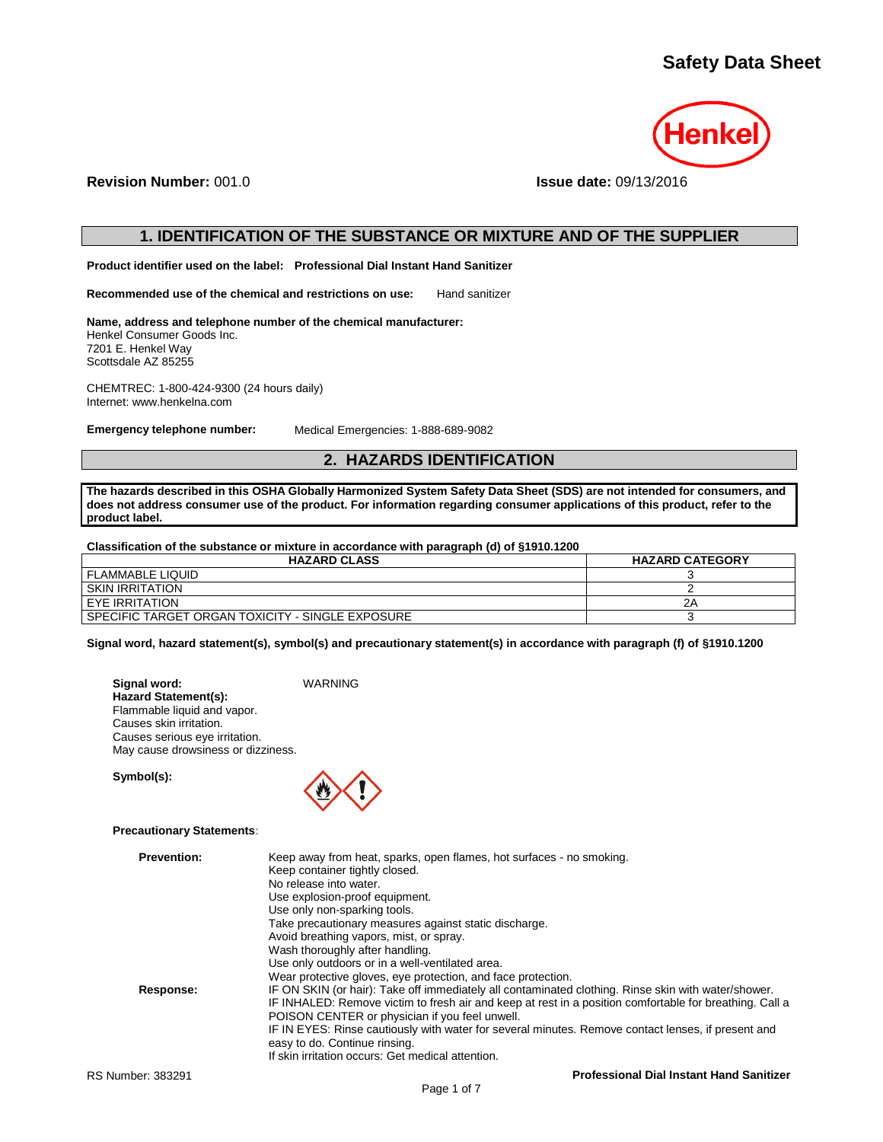

**Revision Number:** 001.0 **Issue date:** 09/13/2016

# **1. IDENTIFICATION OF THE SUBSTANCE OR MIXTURE AND OF THE SUPPLIER**

**Product identifier used on the label: Professional Dial Instant Hand Sanitizer**

**Recommended use of the chemical and restrictions on use:** Hand sanitizer

**Name, address and telephone number of the chemical manufacturer:** Henkel Consumer Goods Inc. 7201 E. Henkel Way Scottsdale AZ 85255

CHEMTREC: 1-800-424-9300 (24 hours daily) Internet: www.henkelna.com

**Emergency telephone number:** Medical Emergencies: 1-888-689-9082

## **2. HAZARDS IDENTIFICATION**

**The hazards described in this OSHA Globally Harmonized System Safety Data Sheet (SDS) are not intended for consumers, and does not address consumer use of the product. For information regarding consumer applications of this product, refer to the product label.**

### **Classification of the substance or mixture in accordance with paragraph (d) of §1910.1200**

| <b>HAZARD CLASS</b>                              | <b>HAZARD CATEGORY</b> |
|--------------------------------------------------|------------------------|
| <b>FLAMMABLE LIQUID</b>                          |                        |
| <b>SKIN IRRITATION</b>                           |                        |
| EYE IRRITATION                                   | 2Α                     |
| SPECIFIC TARGET ORGAN TOXICITY - SINGLE EXPOSURE |                        |

**Signal word, hazard statement(s), symbol(s) and precautionary statement(s) in accordance with paragraph (f) of §1910.1200**

| Signal word:                       | <b>WARNING</b> |
|------------------------------------|----------------|
| <b>Hazard Statement(s):</b>        |                |
| Flammable liquid and vapor.        |                |
| Causes skin irritation.            |                |
| Causes serious eye irritation.     |                |
| May cause drowsiness or dizziness. |                |

**Symbol(s):**



## **Precautionary Statements:**

| <b>Prevention:</b> | Keep away from heat, sparks, open flames, hot surfaces - no smoking.<br>Keep container tightly closed.  |
|--------------------|---------------------------------------------------------------------------------------------------------|
|                    | No release into water.                                                                                  |
|                    | Use explosion-proof equipment.                                                                          |
|                    | Use only non-sparking tools.                                                                            |
|                    | Take precautionary measures against static discharge.                                                   |
|                    | Avoid breathing vapors, mist, or spray.                                                                 |
|                    | Wash thoroughly after handling.                                                                         |
|                    | Use only outdoors or in a well-ventilated area.                                                         |
|                    | Wear protective gloves, eye protection, and face protection.                                            |
| Response:          | IF ON SKIN (or hair): Take off immediately all contaminated clothing. Rinse skin with water/shower.     |
|                    | IF INHALED: Remove victim to fresh air and keep at rest in a position comfortable for breathing. Call a |
|                    | POISON CENTER or physician if you feel unwell.                                                          |
|                    | IF IN EYES: Rinse cautiously with water for several minutes. Remove contact lenses, if present and      |
|                    | easy to do. Continue rinsing.                                                                           |
|                    | If skin irritation occurs: Get medical attention.                                                       |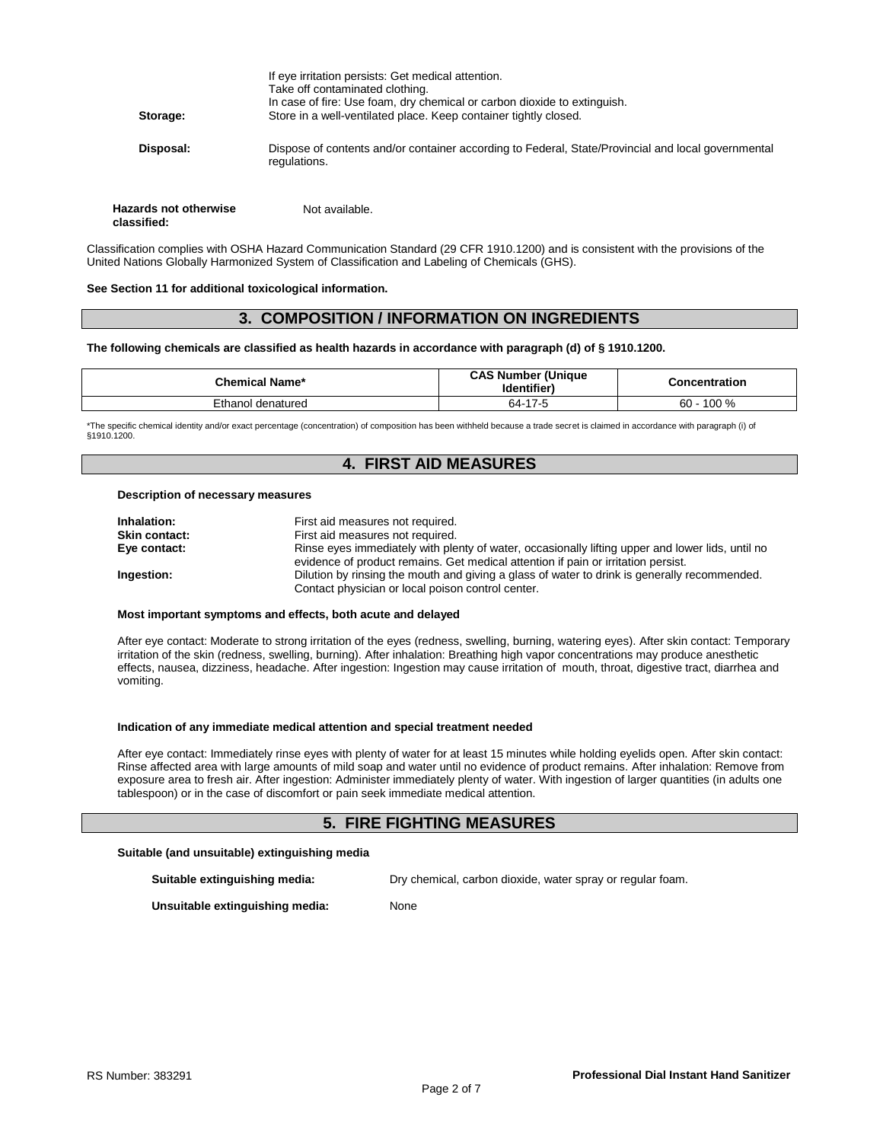| Storage:                                    | If eye irritation persists: Get medical attention.<br>Take off contaminated clothing.<br>In case of fire: Use foam, dry chemical or carbon dioxide to extinguish.<br>Store in a well-ventilated place. Keep container tightly closed. |  |  |
|---------------------------------------------|---------------------------------------------------------------------------------------------------------------------------------------------------------------------------------------------------------------------------------------|--|--|
| Disposal:                                   | Dispose of contents and/or container according to Federal, State/Provincial and local governmental<br>regulations.                                                                                                                    |  |  |
| <b>Hazards not otherwise</b><br>classified: | Not available.                                                                                                                                                                                                                        |  |  |

Classification complies with OSHA Hazard Communication Standard (29 CFR 1910.1200) and is consistent with the provisions of the United Nations Globally Harmonized System of Classification and Labeling of Chemicals (GHS).

#### **See Section 11 for additional toxicological information.**

## **3. COMPOSITION / INFORMATION ON INGREDIENTS**

#### **The following chemicals are classified as health hazards in accordance with paragraph (d) of § 1910.1200.**

| <b>Chemical Name*</b> | <b>CAS Number (Unique</b><br>Identifier | Concentration |
|-----------------------|-----------------------------------------|---------------|
| thanol                | ና4-                                     | 100 %         |
| denatured             | .                                       | 60 -          |

\*The specific chemical identity and/or exact percentage (concentration) of composition has been withheld because a trade secret is claimed in accordance with paragraph (i) of §1910.1200.

## **4. FIRST AID MEASURES**

#### **Description of necessary measures**

| Inhalation:          | First aid measures not required.                                                                                                                                                      |
|----------------------|---------------------------------------------------------------------------------------------------------------------------------------------------------------------------------------|
| <b>Skin contact:</b> | First aid measures not required.                                                                                                                                                      |
| Eye contact:         | Rinse eyes immediately with plenty of water, occasionally lifting upper and lower lids, until no<br>evidence of product remains. Get medical attention if pain or irritation persist. |
| Ingestion:           | Dilution by rinsing the mouth and giving a glass of water to drink is generally recommended.                                                                                          |
|                      | Contact physician or local poison control center.                                                                                                                                     |

#### **Most important symptoms and effects, both acute and delayed**

After eye contact: Moderate to strong irritation of the eyes (redness, swelling, burning, watering eyes). After skin contact: Temporary irritation of the skin (redness, swelling, burning). After inhalation: Breathing high vapor concentrations may produce anesthetic effects, nausea, dizziness, headache. After ingestion: Ingestion may cause irritation of mouth, throat, digestive tract, diarrhea and vomiting.

## **Indication of any immediate medical attention and special treatment needed**

After eye contact: Immediately rinse eyes with plenty of water for at least 15 minutes while holding eyelids open. After skin contact: Rinse affected area with large amounts of mild soap and water until no evidence of product remains. After inhalation: Remove from exposure area to fresh air. After ingestion: Administer immediately plenty of water. With ingestion of larger quantities (in adults one tablespoon) or in the case of discomfort or pain seek immediate medical attention.

## **5. FIRE FIGHTING MEASURES**

## **Suitable (and unsuitable) extinguishing media**

**Suitable extinguishing media:** Dry chemical, carbon dioxide, water spray or regular foam.

**Unsuitable extinguishing media:** None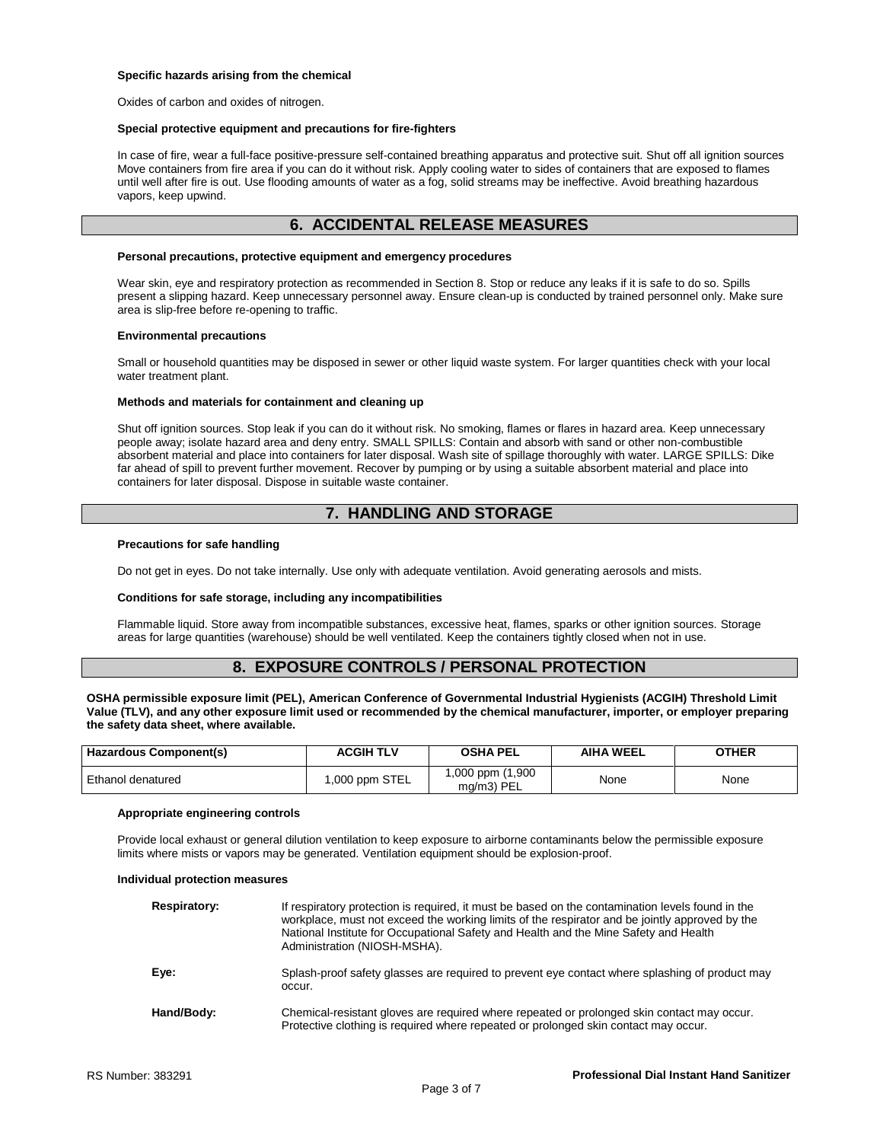#### **Specific hazards arising from the chemical**

Oxides of carbon and oxides of nitrogen.

#### **Special protective equipment and precautions for fire-fighters**

In case of fire, wear a full-face positive-pressure self-contained breathing apparatus and protective suit. Shut off all ignition sources Move containers from fire area if you can do it without risk. Apply cooling water to sides of containers that are exposed to flames until well after fire is out. Use flooding amounts of water as a fog, solid streams may be ineffective. Avoid breathing hazardous vapors, keep upwind.

## **6. ACCIDENTAL RELEASE MEASURES**

#### **Personal precautions, protective equipment and emergency procedures**

Wear skin, eye and respiratory protection as recommended in Section 8. Stop or reduce any leaks if it is safe to do so. Spills present a slipping hazard. Keep unnecessary personnel away. Ensure clean-up is conducted by trained personnel only. Make sure area is slip-free before re-opening to traffic.

#### **Environmental precautions**

Small or household quantities may be disposed in sewer or other liquid waste system. For larger quantities check with your local water treatment plant.

#### **Methods and materials for containment and cleaning up**

Shut off ignition sources. Stop leak if you can do it without risk. No smoking, flames or flares in hazard area. Keep unnecessary people away; isolate hazard area and deny entry. SMALL SPILLS: Contain and absorb with sand or other non-combustible absorbent material and place into containers for later disposal. Wash site of spillage thoroughly with water. LARGE SPILLS: Dike far ahead of spill to prevent further movement. Recover by pumping or by using a suitable absorbent material and place into containers for later disposal. Dispose in suitable waste container.

## **7. HANDLING AND STORAGE**

#### **Precautions for safe handling**

Do not get in eyes. Do not take internally. Use only with adequate ventilation. Avoid generating aerosols and mists.

#### **Conditions for safe storage, including any incompatibilities**

Flammable liquid. Store away from incompatible substances, excessive heat, flames, sparks or other ignition sources. Storage areas for large quantities (warehouse) should be well ventilated. Keep the containers tightly closed when not in use.

## **8. EXPOSURE CONTROLS / PERSONAL PROTECTION**

**OSHA permissible exposure limit (PEL), American Conference of Governmental Industrial Hygienists (ACGIH) Threshold Limit Value (TLV), and any other exposure limit used or recommended by the chemical manufacturer, importer, or employer preparing the safety data sheet, where available.**

| Hazardous Component(s) | ACGIH TLV      | <b>OSHA PEL</b>                | <b>AIHA WEEL</b> | OTHER |
|------------------------|----------------|--------------------------------|------------------|-------|
| Ethanol denatured      | 1,000 ppm STEL | 1,000 ppm (1,900<br>ma/m3) PEL | None             | None  |

#### **Appropriate engineering controls**

Provide local exhaust or general dilution ventilation to keep exposure to airborne contaminants below the permissible exposure limits where mists or vapors may be generated. Ventilation equipment should be explosion-proof.

#### **Individual protection measures**

| <b>Respiratory:</b> | If respiratory protection is required, it must be based on the contamination levels found in the<br>workplace, must not exceed the working limits of the respirator and be jointly approved by the<br>National Institute for Occupational Safety and Health and the Mine Safety and Health<br>Administration (NIOSH-MSHA). |
|---------------------|----------------------------------------------------------------------------------------------------------------------------------------------------------------------------------------------------------------------------------------------------------------------------------------------------------------------------|
| Eve:                | Splash-proof safety glasses are required to prevent eye contact where splashing of product may<br>occur.                                                                                                                                                                                                                   |
| Hand/Body:          | Chemical-resistant gloves are required where repeated or prolonged skin contact may occur.<br>Protective clothing is required where repeated or prolonged skin contact may occur.                                                                                                                                          |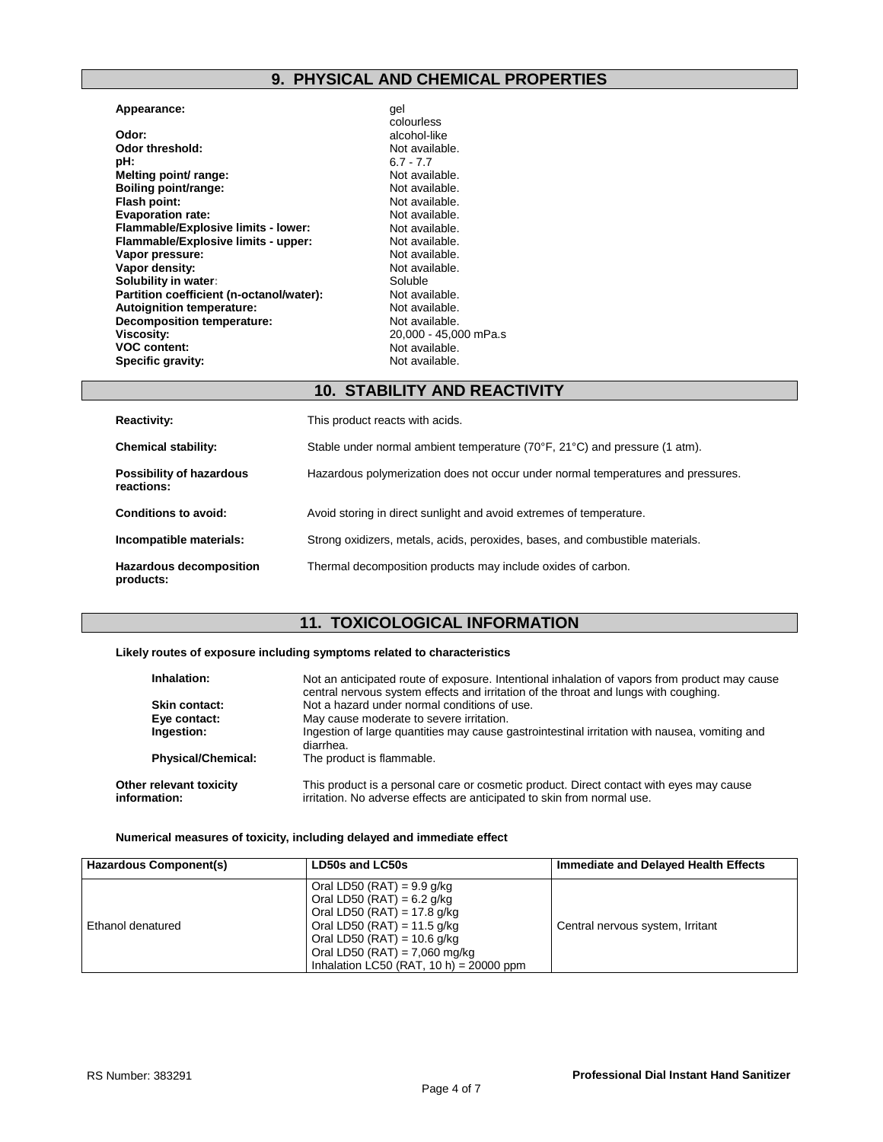## **9. PHYSICAL AND CHEMICAL PROPERTIES**

### **Appearance:** gel

**Odor:** alcohol-like<br> **Odor threshold:** alcohol-like<br> **Odor threshold:** alcohol-like Odor threshold:<br>pH: **Melting point/ range:** Not available.<br> **Roiling point/range:** Not available. **Boiling point/range:**<br>Flash point: **Evaporation rate:**<br> **Flammable/Explosive limits - lower:** Not available. **Flammable/Explosive limits - lower:** Not available.<br> **Flammable/Explosive limits - upper:** Not available. **Flammable/Explosive limits - upper:** Not available.<br> **Vapor pressure:** Not available. **Vapor pressure:** Not available.<br> **Vapor density:** Not available. **Vapor density:** Not available. The Mot available of the Mot available. Not available. Not available. Not available.<br>**Solubility in water:** Not available. Not available. Not available. Not available. Not available. Not ava **Solubility in water:** Soluble Soluble Soluble Soluble **Partition coefficient (n-octanol/water):** Not available. **Partition coefficient (n-octanol/water):** Not available.<br> **Autoignition temperature:** Not available. **Autoignition temperature:** Not available.<br> **Decomposition temperature:** Not available. **Decomposition temperature:**<br>Viscosity: **Viscosity:** 20,000 - 45,000 mPa.s<br> **VOC content:** Not available. **Specific gravity:** 

colourless 6.7 - 7.7<br>Not available. Not available.<br>Not available. Not available.<br>Not available.

## **10. STABILITY AND REACTIVITY**

| <b>Reactivity:</b>                          | This product reacts with acids.                                                            |
|---------------------------------------------|--------------------------------------------------------------------------------------------|
| <b>Chemical stability:</b>                  | Stable under normal ambient temperature $(70^{\circ}F, 21^{\circ}C)$ and pressure (1 atm). |
| Possibility of hazardous<br>reactions:      | Hazardous polymerization does not occur under normal temperatures and pressures.           |
| Conditions to avoid:                        | Avoid storing in direct sunlight and avoid extremes of temperature.                        |
| Incompatible materials:                     | Strong oxidizers, metals, acids, peroxides, bases, and combustible materials.              |
| <b>Hazardous decomposition</b><br>products: | Thermal decomposition products may include oxides of carbon.                               |

## **11. TOXICOLOGICAL INFORMATION**

## **Likely routes of exposure including symptoms related to characteristics**

| Inhalation:                             | Not an anticipated route of exposure. Intentional inhalation of vapors from product may cause<br>central nervous system effects and irritation of the throat and lungs with coughing. |  |  |
|-----------------------------------------|---------------------------------------------------------------------------------------------------------------------------------------------------------------------------------------|--|--|
| Skin contact:                           | Not a hazard under normal conditions of use.                                                                                                                                          |  |  |
| Eye contact:                            | May cause moderate to severe irritation.                                                                                                                                              |  |  |
| Ingestion:                              | Ingestion of large quantities may cause gastrointestinal irritation with nausea, vomiting and<br>diarrhea.                                                                            |  |  |
| <b>Physical/Chemical:</b>               | The product is flammable.                                                                                                                                                             |  |  |
| Other relevant toxicity<br>information: | This product is a personal care or cosmetic product. Direct contact with eyes may cause<br>irritation. No adverse effects are anticipated to skin from normal use.                    |  |  |

### **Numerical measures of toxicity, including delayed and immediate effect**

| Hazardous Component(s) | LD50s and LC50s                                                                                                                                                                                                                                 | Immediate and Delayed Health Effects |
|------------------------|-------------------------------------------------------------------------------------------------------------------------------------------------------------------------------------------------------------------------------------------------|--------------------------------------|
| Ethanol denatured      | Oral LD50 (RAT) = $9.9$ g/kg<br>Oral LD50 (RAT) = $6.2$ g/kg<br>Oral LD50 (RAT) = $17.8$ g/kg<br>Oral LD50 (RAT) = $11.5$ g/kg<br>Oral LD50 (RAT) = $10.6$ g/kg<br>Oral LD50 (RAT) = $7,060$ mg/kg<br>Inhalation LC50 (RAT, 10 h) = $20000$ ppm | Central nervous system, Irritant     |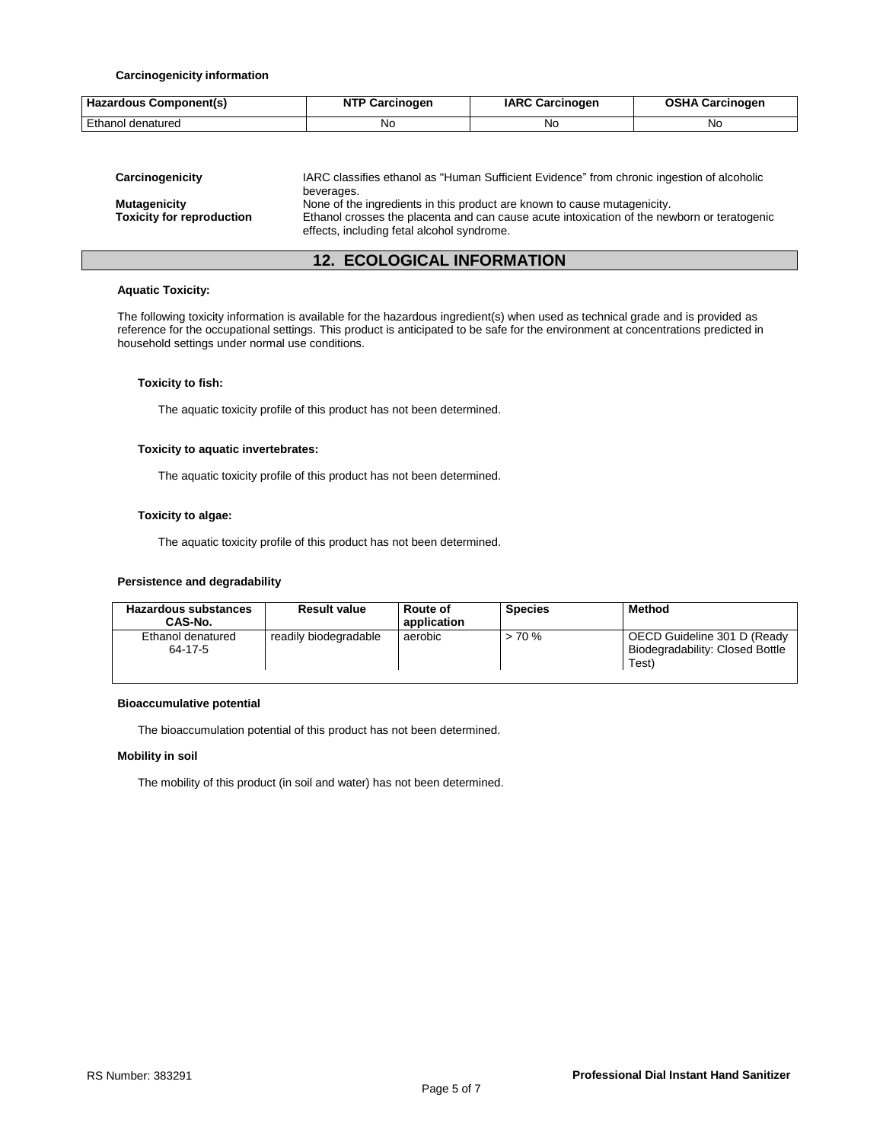### **Carcinogenicity information**

| Hazardous Component(s) | <b>NTP</b><br>Carcinogen | <b>IARC Carcinogen</b> | <b>OSHA Carcinogen</b> |
|------------------------|--------------------------|------------------------|------------------------|
| Ethanol denatured      | No                       | Nc                     | .No                    |

| Carcinogenicity                                  | IARC classifies ethanol as "Human Sufficient Evidence" from chronic ingestion of alcoholic<br>beverages.                                                                                                              |
|--------------------------------------------------|-----------------------------------------------------------------------------------------------------------------------------------------------------------------------------------------------------------------------|
| Mutagenicity<br><b>Toxicity for reproduction</b> | None of the ingredients in this product are known to cause mutagenicity.<br>Ethanol crosses the placenta and can cause acute intoxication of the newborn or teratogenic<br>effects, including fetal alcohol syndrome. |

## **12. ECOLOGICAL INFORMATION**

## **Aquatic Toxicity:**

The following toxicity information is available for the hazardous ingredient(s) when used as technical grade and is provided as reference for the occupational settings. This product is anticipated to be safe for the environment at concentrations predicted in household settings under normal use conditions.

## **Toxicity to fish:**

The aquatic toxicity profile of this product has not been determined.

### **Toxicity to aquatic invertebrates:**

The aquatic toxicity profile of this product has not been determined.

## **Toxicity to algae:**

The aquatic toxicity profile of this product has not been determined.

### **Persistence and degradability**

| <b>Hazardous substances</b><br>CAS-No. | <b>Result value</b>   | Route of<br>application | <b>Species</b> | <b>Method</b>                                                           |
|----------------------------------------|-----------------------|-------------------------|----------------|-------------------------------------------------------------------------|
| Ethanol denatured<br>64-17-5           | readily biodegradable | aerobic                 | > 70%          | OECD Guideline 301 D (Ready<br>Biodegradability: Closed Bottle<br>Test) |

#### **Bioaccumulative potential**

The bioaccumulation potential of this product has not been determined.

### **Mobility in soil**

The mobility of this product (in soil and water) has not been determined.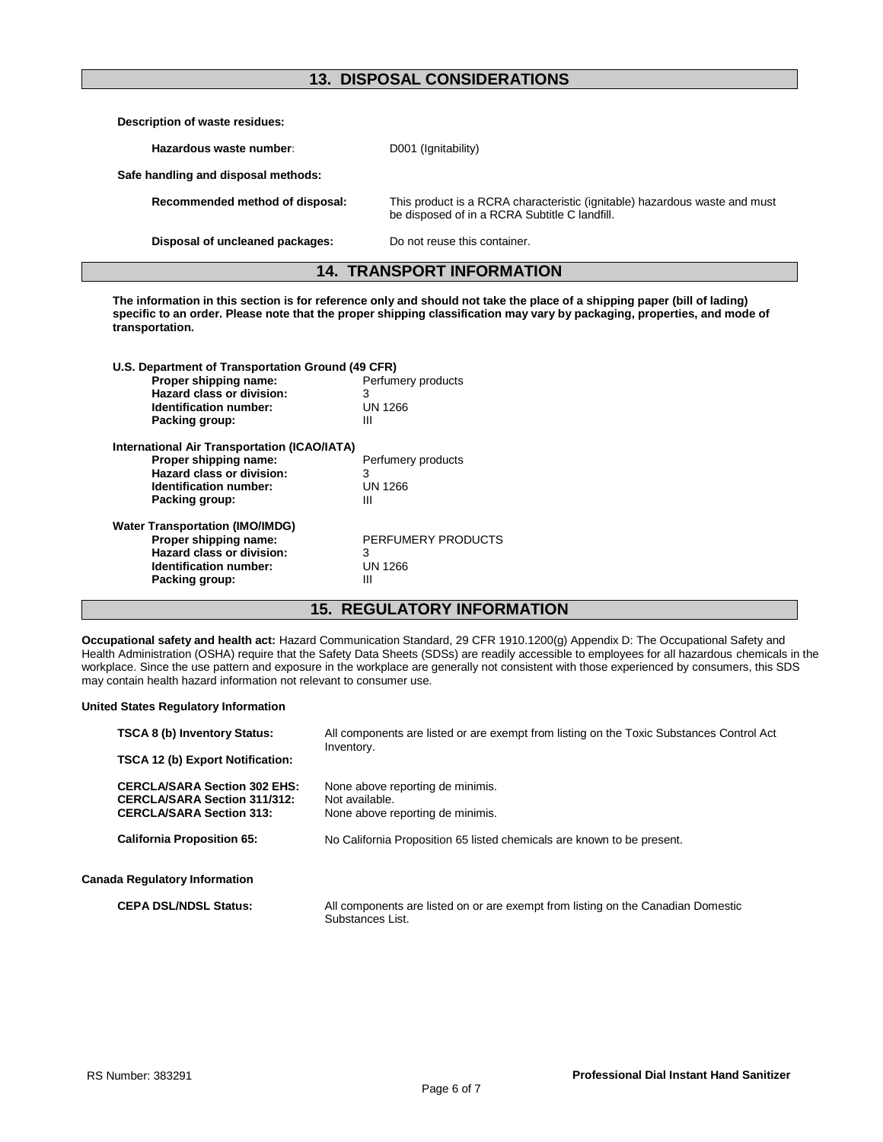# **13. DISPOSAL CONSIDERATIONS**

| Description of waste residues:      |                                                                                                                             |
|-------------------------------------|-----------------------------------------------------------------------------------------------------------------------------|
| Hazardous waste number:             | D001 (Ignitability)                                                                                                         |
| Safe handling and disposal methods: |                                                                                                                             |
| Recommended method of disposal:     | This product is a RCRA characteristic (ignitable) hazardous waste and must<br>be disposed of in a RCRA Subtitle C landfill. |
| Disposal of uncleaned packages:     | Do not reuse this container.                                                                                                |

| <b>14. TRANSPORT INFORMATION</b> |  |
|----------------------------------|--|
|----------------------------------|--|

**The information in this section is for reference only and should not take the place of a shipping paper (bill of lading) specific to an order. Please note that the proper shipping classification may vary by packaging, properties, and mode of transportation.**

| U.S. Department of Transportation Ground (49 CFR)   |                    |
|-----------------------------------------------------|--------------------|
| Proper shipping name:                               | Perfumery products |
| Hazard class or division:                           | 3                  |
| Identification number:                              | UN 1266            |
| Packing group:                                      | Ш                  |
| <b>International Air Transportation (ICAO/IATA)</b> |                    |
| Proper shipping name:                               | Perfumery products |
| Hazard class or division:                           | 3                  |
| Identification number:                              | UN 1266            |
| Packing group:                                      | Ш                  |
| <b>Water Transportation (IMO/IMDG)</b>              |                    |
| Proper shipping name:                               | PERFUMERY PRODUCTS |
| Hazard class or division:                           | 3                  |
| Identification number:                              | UN 1266            |
| Packing group:                                      | Ш                  |

# **15. REGULATORY INFORMATION**

**Occupational safety and health act:** Hazard Communication Standard, 29 CFR 1910.1200(g) Appendix D: The Occupational Safety and Health Administration (OSHA) require that the Safety Data Sheets (SDSs) are readily accessible to employees for all hazardous chemicals in the workplace. Since the use pattern and exposure in the workplace are generally not consistent with those experienced by consumers, this SDS may contain health hazard information not relevant to consumer use.

### **United States Regulatory Information**

| <b>TSCA 8 (b) Inventory Status:</b>                                                                           | All components are listed or are exempt from listing on the Toxic Substances Control Act<br>Inventory. |  |
|---------------------------------------------------------------------------------------------------------------|--------------------------------------------------------------------------------------------------------|--|
| <b>TSCA 12 (b) Export Notification:</b>                                                                       |                                                                                                        |  |
| <b>CERCLA/SARA Section 302 EHS:</b><br><b>CERCLA/SARA Section 311/312:</b><br><b>CERCLA/SARA Section 313:</b> | None above reporting de minimis.<br>Not available.<br>None above reporting de minimis.                 |  |
| <b>California Proposition 65:</b>                                                                             | No California Proposition 65 listed chemicals are known to be present.                                 |  |
| da Regulatory Information                                                                                     |                                                                                                        |  |
| <b>CEPA DSL/NDSL Status:</b>                                                                                  | All components are listed on or are exempt from listing on the Canadian Domestic<br>Substances List.   |  |

**Cana**